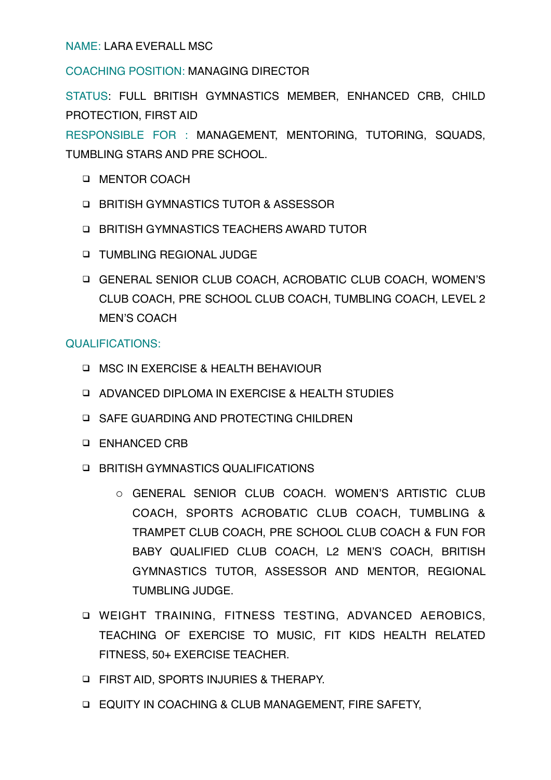NAME: LARA EVERALL MSC

COACHING POSITION: MANAGING DIRECTOR

STATUS: FULL BRITISH GYMNASTICS MEMBER, ENHANCED CRB, CHILD PROTECTION, FIRST AID

RESPONSIBLE FOR : MANAGEMENT, MENTORING, TUTORING, SQUADS, TUMBLING STARS AND PRE SCHOOL.

- **INENTOR COACH**
- □ BRITISH GYMNASTICS TUTOR & ASSESSOR
- **E. BRITISH GYMNASTICS TEACHERS AWARD TUTOR**
- **INDUSTRIANG REGIONAL JUDGE**
- ! GENERAL SENIOR CLUB COACH, ACROBATIC CLUB COACH, WOMEN'S CLUB COACH, PRE SCHOOL CLUB COACH, TUMBLING COACH, LEVEL 2 MEN'S COACH

## QUALIFICATIONS:

- **INSC IN EXERCISE & HEALTH BEHAVIOUR**
- **Q ADVANCED DIPLOMA IN EXERCISE & HEALTH STUDIES**
- **IN SAFE GUARDING AND PROTECTING CHILDREN**
- **Q ENHANCED CRB**
- **E. BRITISH GYMNASTICS QUALIFICATIONS** 
	- o GENERAL SENIOR CLUB COACH. WOMEN'S ARTISTIC CLUB COACH, SPORTS ACROBATIC CLUB COACH, TUMBLING & TRAMPET CLUB COACH, PRE SCHOOL CLUB COACH & FUN FOR BABY QUALIFIED CLUB COACH, L2 MEN'S COACH, BRITISH GYMNASTICS TUTOR, ASSESSOR AND MENTOR, REGIONAL TUMBLING JUDGE.
- **Q WEIGHT TRAINING, FITNESS TESTING, ADVANCED AEROBICS,** TEACHING OF EXERCISE TO MUSIC, FIT KIDS HEALTH RELATED FITNESS, 50+ EXERCISE TEACHER.
- **E FIRST AID, SPORTS INJURIES & THERAPY.**
- **EQUITY IN COACHING & CLUB MANAGEMENT, FIRE SAFETY,**